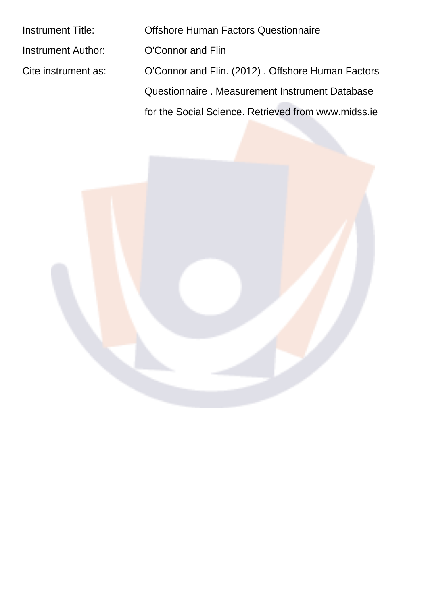| <b>Instrument Title:</b> | <b>Offshore Human Factors Questionnaire</b>         |
|--------------------------|-----------------------------------------------------|
| Instrument Author:       | O'Connor and Flin                                   |
| Cite instrument as:      | O'Connor and Flin. (2012). Offshore Human Factors   |
|                          | Questionnaire. Measurement Instrument Database      |
|                          | for the Social Science. Retrieved from www.midss.ie |
|                          |                                                     |

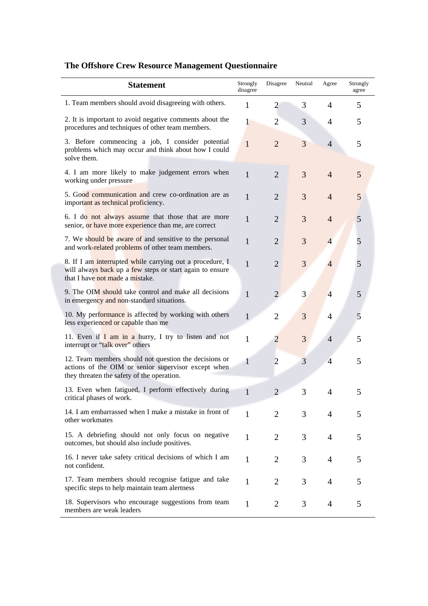| <b>Statement</b>                                                                                                                                           | Strongly<br>disagree | Disagree       | Neutral | Agree          | Strongly<br>agree |
|------------------------------------------------------------------------------------------------------------------------------------------------------------|----------------------|----------------|---------|----------------|-------------------|
| 1. Team members should avoid disagreeing with others.                                                                                                      | 1                    | $\overline{2}$ | 3       | 4              | 5                 |
| 2. It is important to avoid negative comments about the<br>procedures and techniques of other team members.                                                | $\mathbf{1}$         | $\overline{2}$ | 3       | 4              | 5                 |
| 3. Before commencing a job, I consider potential<br>problems which may occur and think about how I could<br>solve them.                                    | $\mathbf{1}$         | $\overline{2}$ | 3       | 4              | 5                 |
| 4. I am more likely to make judgement errors when<br>working under pressure                                                                                | $\mathbf{1}$         | $\overline{2}$ | 3       | $\overline{4}$ | 5                 |
| 5. Good communication and crew co-ordination are as<br>important as technical proficiency.                                                                 | $\mathbf{1}$         | $\overline{2}$ | 3       | $\overline{4}$ | 5                 |
| 6. I do not always assume that those that are more<br>senior, or have more experience than me, are correct                                                 | $\mathbf{1}$         | $\overline{2}$ | 3       | $\overline{4}$ | 5                 |
| 7. We should be aware of and sensitive to the personal<br>and work-related problems of other team members.                                                 | $\mathbf{1}$         | $\overline{2}$ | 3       | $\overline{4}$ | 5                 |
| 8. If I am interrupted while carrying out a procedure, I<br>will always back up a few steps or start again to ensure<br>that I have not made a mistake.    | $\mathbf{1}$         | $\overline{2}$ | 3       | $\overline{4}$ | 5                 |
| 9. The OIM should take control and make all decisions<br>in emergency and non-standard situations.                                                         | $\mathbf{1}$         | $\overline{2}$ | 3       | $\overline{4}$ | 5                 |
| 10. My performance is affected by working with others<br>less experienced or capable than me                                                               | $\mathbf{1}$         | $\overline{2}$ | 3       | 4              | 5                 |
| 11. Even if $I$ am in a hurry, I try to listen and not<br>interrupt or "talk over" others                                                                  | $\mathbf{1}$         | $\overline{2}$ | 3       | $\overline{4}$ | 5                 |
| 12. Team members should not question the decisions or<br>actions of the OIM or senior supervisor except when<br>they threaten the safety of the operation. | $\mathbf{1}$         | $\overline{c}$ | 3       | $\overline{4}$ | 5                 |
| 13. Even when fatigued, I perform effectively during<br>critical phases of work.                                                                           | 1                    | $\overline{2}$ | 3       | 4              | 5                 |
| 14. I am embarrassed when I make a mistake in front of<br>other workmates                                                                                  | 1                    | 2              | 3       | 4              | 5                 |
| 15. A debriefing should not only focus on negative<br>outcomes, but should also include positives.                                                         | 1                    | $\overline{2}$ | 3       | 4              | 5                 |
| 16. I never take safety critical decisions of which I am<br>not confident.                                                                                 | 1                    | $\overline{2}$ | 3       | 4              | 5                 |
| 17. Team members should recognise fatigue and take<br>specific steps to help maintain team alertness                                                       | 1                    | $\overline{2}$ | 3       | $\overline{4}$ | 5                 |
| 18. Supervisors who encourage suggestions from team<br>members are weak leaders                                                                            | 1                    | $\overline{2}$ | 3       | 4              | 5                 |

## **The Offshore Crew Resource Management Questionnaire**